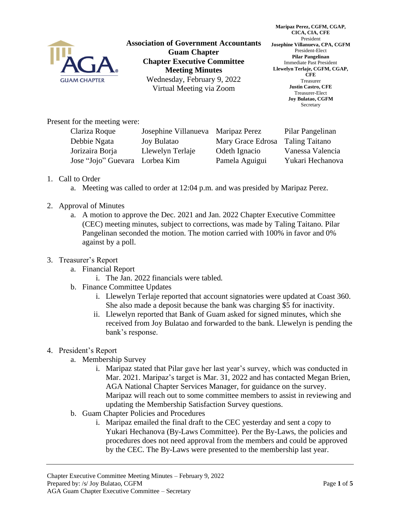

**Association of Government Accountants Guam Chapter Chapter Executive Committee Meeting Minutes** Wednesday, February 9, 2022 Virtual Meeting via Zoom

**Maripaz Perez, CGFM, CGAP, CICA, CIA, CFE** President **Josephine Villanueva, CPA, CGFM** President-Elect **Pilar Pangelinan** Immediate Past President **Llewelyn Terlaje, CGFM, CGAP, CFE** Treasurer **Justin Castro, CFE** Treasurer-Elect **Joy Bulatao, CGFM** Secretary

Present for the meeting were:

| Clariza Roque                  | Josephine Villanueva Maripaz Perez |                   | Pilar Pangelinan      |
|--------------------------------|------------------------------------|-------------------|-----------------------|
| Debbie Ngata                   | <b>Joy Bulatao</b>                 | Mary Grace Edrosa | <b>Taling Taitano</b> |
| Jorizaira Borja                | Llewelyn Terlaje                   | Odeth Ignacio     | Vanessa Valencia      |
| Jose "Jojo" Guevara Lorbea Kim |                                    | Pamela Aguigui    | Yukari Hechanova      |

- 1. Call to Order
	- a. Meeting was called to order at 12:04 p.m. and was presided by Maripaz Perez.
- 2. Approval of Minutes
	- a. A motion to approve the Dec. 2021 and Jan. 2022 Chapter Executive Committee (CEC) meeting minutes, subject to corrections, was made by Taling Taitano. Pilar Pangelinan seconded the motion. The motion carried with 100% in favor and 0% against by a poll.
- 3. Treasurer's Report
	- a. Financial Report
		- i. The Jan. 2022 financials were tabled.
	- b. Finance Committee Updates
		- i. Llewelyn Terlaje reported that account signatories were updated at Coast 360. She also made a deposit because the bank was charging \$5 for inactivity.
		- ii. Llewelyn reported that Bank of Guam asked for signed minutes, which she received from Joy Bulatao and forwarded to the bank. Llewelyn is pending the bank's response.
- 4. President's Report
	- a. Membership Survey
		- i. Maripaz stated that Pilar gave her last year's survey, which was conducted in Mar. 2021. Maripaz's target is Mar. 31, 2022 and has contacted Megan Brien, AGA National Chapter Services Manager, for guidance on the survey. Maripaz will reach out to some committee members to assist in reviewing and updating the Membership Satisfaction Survey questions.
	- b. Guam Chapter Policies and Procedures
		- i. Maripaz emailed the final draft to the CEC yesterday and sent a copy to Yukari Hechanova (By-Laws Committee). Per the By-Laws, the policies and procedures does not need approval from the members and could be approved by the CEC. The By-Laws were presented to the membership last year.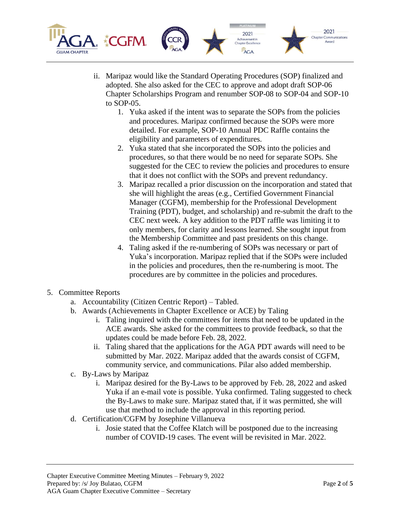

- ii. Maripaz would like the Standard Operating Procedures (SOP) finalized and adopted. She also asked for the CEC to approve and adopt draft SOP-06 Chapter Scholarships Program and renumber SOP-08 to SOP-04 and SOP-10 to SOP-05.
	- 1. Yuka asked if the intent was to separate the SOPs from the policies and procedures. Maripaz confirmed because the SOPs were more detailed. For example, SOP-10 Annual PDC Raffle contains the eligibility and parameters of expenditures.
	- 2. Yuka stated that she incorporated the SOPs into the policies and procedures, so that there would be no need for separate SOPs. She suggested for the CEC to review the policies and procedures to ensure that it does not conflict with the SOPs and prevent redundancy.
	- 3. Maripaz recalled a prior discussion on the incorporation and stated that she will highlight the areas (e.g., Certified Government Financial Manager (CGFM), membership for the Professional Development Training (PDT), budget, and scholarship) and re-submit the draft to the CEC next week. A key addition to the PDT raffle was limiting it to only members, for clarity and lessons learned. She sought input from the Membership Committee and past presidents on this change.
	- 4. Taling asked if the re-numbering of SOPs was necessary or part of Yuka's incorporation. Maripaz replied that if the SOPs were included in the policies and procedures, then the re-numbering is moot. The procedures are by committee in the policies and procedures.
- 5. Committee Reports
	- a. Accountability (Citizen Centric Report) Tabled.
	- b. Awards (Achievements in Chapter Excellence or ACE) by Taling
		- i. Taling inquired with the committees for items that need to be updated in the ACE awards. She asked for the committees to provide feedback, so that the updates could be made before Feb. 28, 2022.
		- ii. Taling shared that the applications for the AGA PDT awards will need to be submitted by Mar. 2022. Maripaz added that the awards consist of CGFM, community service, and communications. Pilar also added membership.
	- c. By-Laws by Maripaz
		- i. Maripaz desired for the By-Laws to be approved by Feb. 28, 2022 and asked Yuka if an e-mail vote is possible. Yuka confirmed. Taling suggested to check the By-Laws to make sure. Maripaz stated that, if it was permitted, she will use that method to include the approval in this reporting period.
	- d. Certification/CGFM by Josephine Villanueva
		- i. Josie stated that the Coffee Klatch will be postponed due to the increasing number of COVID-19 cases. The event will be revisited in Mar. 2022.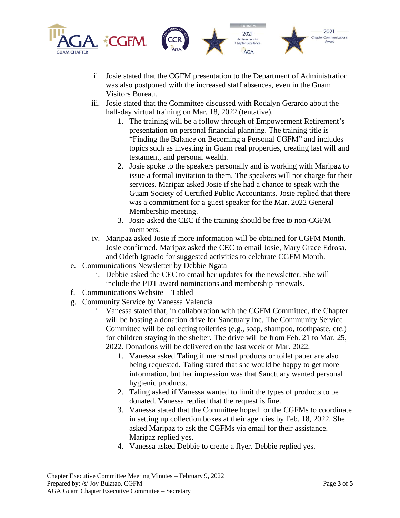

- ii. Josie stated that the CGFM presentation to the Department of Administration was also postponed with the increased staff absences, even in the Guam Visitors Bureau.
- iii. Josie stated that the Committee discussed with Rodalyn Gerardo about the half-day virtual training on Mar. 18, 2022 (tentative).
	- 1. The training will be a follow through of Empowerment Retirement's presentation on personal financial planning. The training title is "Finding the Balance on Becoming a Personal CGFM" and includes topics such as investing in Guam real properties, creating last will and testament, and personal wealth.
	- 2. Josie spoke to the speakers personally and is working with Maripaz to issue a formal invitation to them. The speakers will not charge for their services. Maripaz asked Josie if she had a chance to speak with the Guam Society of Certified Public Accountants. Josie replied that there was a commitment for a guest speaker for the Mar. 2022 General Membership meeting.
	- 3. Josie asked the CEC if the training should be free to non-CGFM members.
- iv. Maripaz asked Josie if more information will be obtained for CGFM Month. Josie confirmed. Maripaz asked the CEC to email Josie, Mary Grace Edrosa, and Odeth Ignacio for suggested activities to celebrate CGFM Month.
- e. Communications Newsletter by Debbie Ngata
	- i. Debbie asked the CEC to email her updates for the newsletter. She will include the PDT award nominations and membership renewals.
- f. Communications Website Tabled
- g. Community Service by Vanessa Valencia
	- i. Vanessa stated that, in collaboration with the CGFM Committee, the Chapter will be hosting a donation drive for Sanctuary Inc. The Community Service Committee will be collecting toiletries (e.g., soap, shampoo, toothpaste, etc.) for children staying in the shelter. The drive will be from Feb. 21 to Mar. 25, 2022. Donations will be delivered on the last week of Mar. 2022.
		- 1. Vanessa asked Taling if menstrual products or toilet paper are also being requested. Taling stated that she would be happy to get more information, but her impression was that Sanctuary wanted personal hygienic products.
		- 2. Taling asked if Vanessa wanted to limit the types of products to be donated. Vanessa replied that the request is fine.
		- 3. Vanessa stated that the Committee hoped for the CGFMs to coordinate in setting up collection boxes at their agencies by Feb. 18, 2022. She asked Maripaz to ask the CGFMs via email for their assistance. Maripaz replied yes.
		- 4. Vanessa asked Debbie to create a flyer. Debbie replied yes.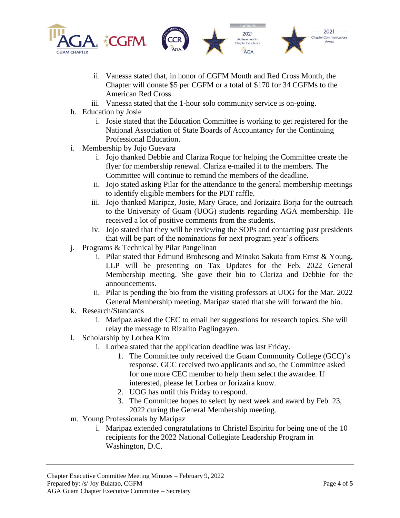

- ii. Vanessa stated that, in honor of CGFM Month and Red Cross Month, the Chapter will donate \$5 per CGFM or a total of \$170 for 34 CGFMs to the American Red Cross.
- iii. Vanessa stated that the 1-hour solo community service is on-going.
- h. Education by Josie
	- i. Josie stated that the Education Committee is working to get registered for the National Association of State Boards of Accountancy for the Continuing Professional Education.
- i. Membership by Jojo Guevara
	- i. Jojo thanked Debbie and Clariza Roque for helping the Committee create the flyer for membership renewal. Clariza e-mailed it to the members. The Committee will continue to remind the members of the deadline.
	- ii. Jojo stated asking Pilar for the attendance to the general membership meetings to identify eligible members for the PDT raffle.
	- iii. Jojo thanked Maripaz, Josie, Mary Grace, and Jorizaira Borja for the outreach to the University of Guam (UOG) students regarding AGA membership. He received a lot of positive comments from the students.
	- iv. Jojo stated that they will be reviewing the SOPs and contacting past presidents that will be part of the nominations for next program year's officers.
- j. Programs & Technical by Pilar Pangelinan
	- i. Pilar stated that Edmund Brobesong and Minako Sakuta from Ernst & Young, LLP will be presenting on Tax Updates for the Feb. 2022 General Membership meeting. She gave their bio to Clariza and Debbie for the announcements.
	- ii. Pilar is pending the bio from the visiting professors at UOG for the Mar. 2022 General Membership meeting. Maripaz stated that she will forward the bio.
- k. Research/Standards
	- i. Maripaz asked the CEC to email her suggestions for research topics. She will relay the message to Rizalito Paglingayen.
- l. Scholarship by Lorbea Kim
	- i. Lorbea stated that the application deadline was last Friday.
		- 1. The Committee only received the Guam Community College (GCC)'s response. GCC received two applicants and so, the Committee asked for one more CEC member to help them select the awardee. If interested, please let Lorbea or Jorizaira know.
		- 2. UOG has until this Friday to respond.
		- 3. The Committee hopes to select by next week and award by Feb. 23, 2022 during the General Membership meeting.
- m. Young Professionals by Maripaz
	- i. Maripaz extended congratulations to Christel Espiritu for being one of the 10 recipients for the 2022 National Collegiate Leadership Program in Washington, D.C.